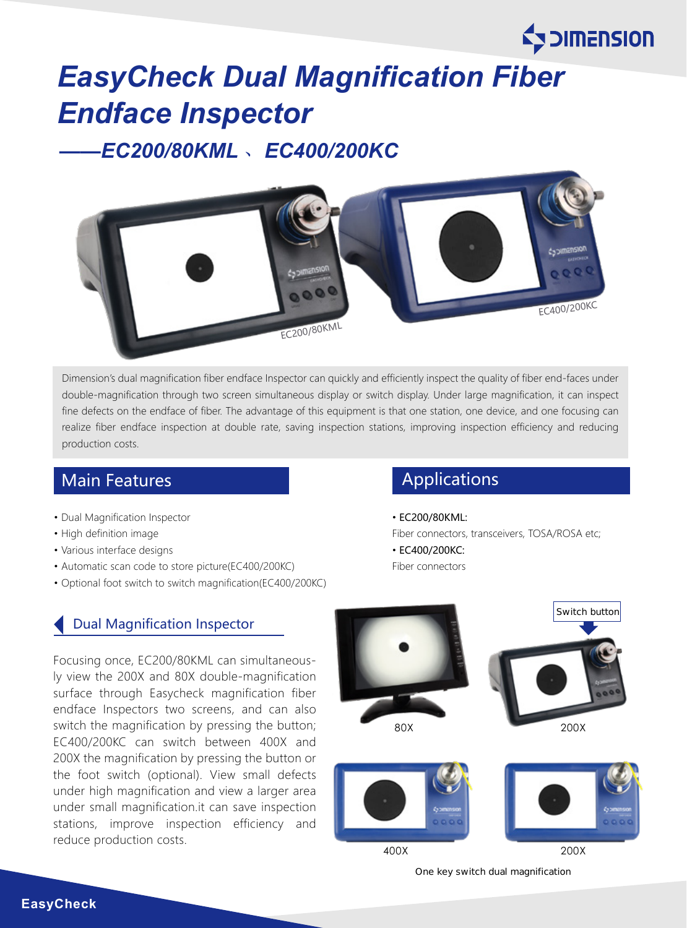# *EasyCheck Dual Magnification Fiber Endface Inspector*

# *——EC200/80KML* 、*EC400/200KC*



Dimension's dual magnification fiber endface Inspector can quickly and efficiently inspect the quality of fiber end-faces under double-magnification through two screen simultaneous display or switch display. Under large magnification, it can inspect fine defects on the endface of fiber. The advantage of this equipment is that one station, one device, and one focusing can realize fiber endface inspection at double rate, saving inspection stations, improving inspection efficiency and reducing production costs.

# Main Features **Applications** Applications

- Dual Magnification Inspector
- High definition image
- Various interface designs
- Automatic scan code to store picture(EC400/200KC)
- Optional foot switch to switch magnification(EC400/200KC)

### Dual Magnification Inspector

Focusing once, EC200/80KML can simultaneously view the 200X and 80X double-magnification surface through Easycheck magnification fiber endface Inspectors two screens, and can also switch the magnification by pressing the button; EC400/200KC can switch between 400X and 200X the magnification by pressing the button or the foot switch (optional). View small defects under high magnification and view a larger area under small magnification.it can save inspection stations, improve inspection efficiency and reduce production costs.

• EC200/80KML:

Fiber connectors, transceivers, TOSA/ROSA etc;

**Explorers Expanding Exp** 

• EC400/200KC: Fiber connectors



One key switch dual magnification